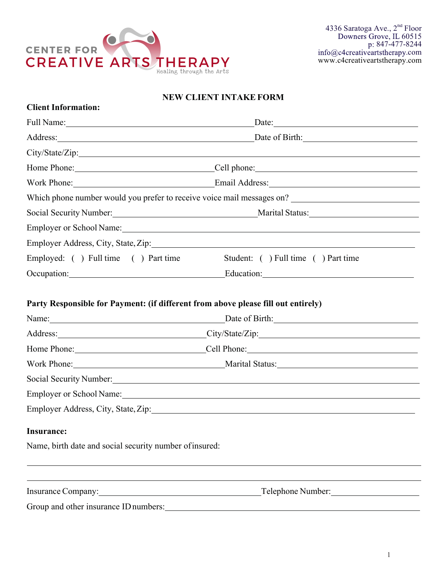

# **NEW CLIENT INTAKE FORM**

| <b>Client Information:</b>                                                                                                                                                                                                           |                                                                                                                                                                                                                                |  |  |
|--------------------------------------------------------------------------------------------------------------------------------------------------------------------------------------------------------------------------------------|--------------------------------------------------------------------------------------------------------------------------------------------------------------------------------------------------------------------------------|--|--|
| Full Name: 1000 and 1000 and 1000 and 1000 and 1000 and 1000 and 1000 and 1000 and 1000 and 1000 and 1000 and 1000 and 1000 and 1000 and 1000 and 1000 and 1000 and 1000 and 1000 and 1000 and 1000 and 1000 and 1000 and 1000       | Date: $\qquad \qquad$                                                                                                                                                                                                          |  |  |
| Address: <u>New York: Address: New York: New York: New York: New York: New York: New York: New York: New York: New York: New York: New York: New York: New York: New York: New York: New York: New York: New York: New York: New</u> | Date of Birth:                                                                                                                                                                                                                 |  |  |
|                                                                                                                                                                                                                                      |                                                                                                                                                                                                                                |  |  |
|                                                                                                                                                                                                                                      |                                                                                                                                                                                                                                |  |  |
|                                                                                                                                                                                                                                      |                                                                                                                                                                                                                                |  |  |
|                                                                                                                                                                                                                                      |                                                                                                                                                                                                                                |  |  |
|                                                                                                                                                                                                                                      |                                                                                                                                                                                                                                |  |  |
| Employer or School Name: 1988 Manual Manual Manual Manual Manual Manual Manual Manual Manual Manual Manual Manual Manual Manual Manual Manual Manual Manual Manual Manual Manual Manual Manual Manual Manual Manual Manual Man       |                                                                                                                                                                                                                                |  |  |
|                                                                                                                                                                                                                                      | Employer Address, City, State, Zip: 1978. March 2014. The State of Table 2014. The State of Table 2014. The State of Table 2014. The State of Table 2014. The State of Table 2014. The State of Table 2014. The State of Table |  |  |
| Employed: () Full time () Part time                                                                                                                                                                                                  | Student: () Full time () Part time                                                                                                                                                                                             |  |  |
| Occupation: <u>contract and contract and contract and contract and contract and contract and contract and contract and contract and contract and contract and contract and contract and contract and contract and contract and c</u> |                                                                                                                                                                                                                                |  |  |
|                                                                                                                                                                                                                                      | Name: <u>Date of Birth:</u> Date of Birth:<br>Address: City/State/Zip: City/State/Zip:                                                                                                                                         |  |  |
|                                                                                                                                                                                                                                      |                                                                                                                                                                                                                                |  |  |
|                                                                                                                                                                                                                                      | Home Phone: Cell Phone: Cell Phone:                                                                                                                                                                                            |  |  |
|                                                                                                                                                                                                                                      | Work Phone: Marital Status: Marital Status:                                                                                                                                                                                    |  |  |
|                                                                                                                                                                                                                                      | Social Security Number: 1988 and 2008 and 2008 and 2008 and 2008 and 2008 and 2008 and 2008 and 2008 and 2008 and 2008 and 2008 and 2008 and 2008 and 2008 and 2008 and 2008 and 2008 and 2008 and 2008 and 2008 and 2008 and  |  |  |
|                                                                                                                                                                                                                                      | Employer or School Name: 1986                                                                                                                                                                                                  |  |  |
|                                                                                                                                                                                                                                      | Employer Address, City, State, Zip: 1988. Manual Manual Manual Manual Manual Manual Manual Manual Manual Manua                                                                                                                 |  |  |
| <b>Insurance:</b>                                                                                                                                                                                                                    |                                                                                                                                                                                                                                |  |  |
| Name, birth date and social security number of insured:                                                                                                                                                                              |                                                                                                                                                                                                                                |  |  |
|                                                                                                                                                                                                                                      |                                                                                                                                                                                                                                |  |  |
|                                                                                                                                                                                                                                      |                                                                                                                                                                                                                                |  |  |
| Insurance Company: 1997                                                                                                                                                                                                              | Telephone Number:                                                                                                                                                                                                              |  |  |
| Group and other insurance ID numbers:                                                                                                                                                                                                |                                                                                                                                                                                                                                |  |  |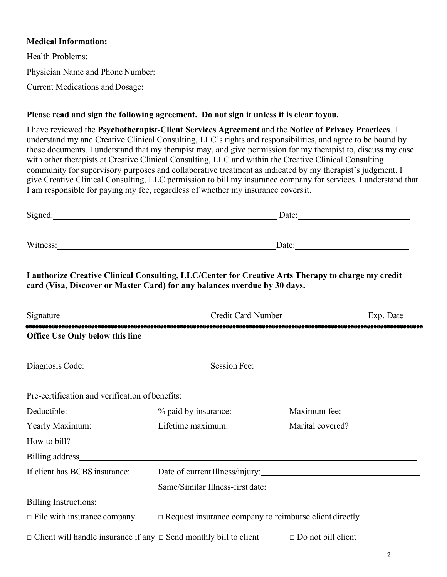# **Medical Information:**

| Health Problems:                       |
|----------------------------------------|
| Physician Name and Phone Number:       |
|                                        |
| <b>Current Medications and Dosage:</b> |

## **Please read and sign the following agreement. Do not sign it unless it is clear toyou.**

I have reviewed the **Psychotherapist-Client Services Agreement** and the **Notice of Privacy Practices**. I understand my and Creative Clinical Consulting, LLC's rights and responsibilities, and agree to be bound by those documents. I understand that my therapist may, and give permission for my therapist to, discuss my case with other therapists at Creative Clinical Consulting, LLC and within the Creative Clinical Consulting community for supervisory purposes and collaborative treatment as indicated by my therapist's judgment. I give Creative Clinical Consulting, LLC permission to bill my insurance company for services. I understand that I am responsible for paying my fee, regardless of whether my insurance coversit.

| Signed:  | Date: |  |
|----------|-------|--|
|          |       |  |
| Witness: | Date: |  |
|          |       |  |

**I authorize Creative Clinical Consulting, LLC/Center for Creative Arts Therapy to charge my credit card (Visa, Discover or Master Card) for any balances overdue by 30 days.**

| Signature                                       | Credit Card Number                                                            | Exp. Date                                                     |
|-------------------------------------------------|-------------------------------------------------------------------------------|---------------------------------------------------------------|
| <b>Office Use Only below this line</b>          |                                                                               |                                                               |
| Diagnosis Code:                                 | Session Fee:                                                                  |                                                               |
| Pre-certification and verification of benefits: |                                                                               |                                                               |
| Deductible:                                     | % paid by insurance:                                                          | Maximum fee:                                                  |
| Yearly Maximum:                                 | Lifetime maximum:                                                             | Marital covered?                                              |
| How to bill?                                    |                                                                               |                                                               |
|                                                 |                                                                               |                                                               |
| If client has BCBS insurance:                   |                                                                               | Date of current Illness/injury:                               |
|                                                 |                                                                               |                                                               |
| <b>Billing Instructions:</b>                    |                                                                               |                                                               |
| $\Box$ File with insurance company              |                                                                               | $\Box$ Request insurance company to reimburse client directly |
|                                                 | $\Box$ Client will handle insurance if any $\Box$ Send monthly bill to client | $\Box$ Do not bill client                                     |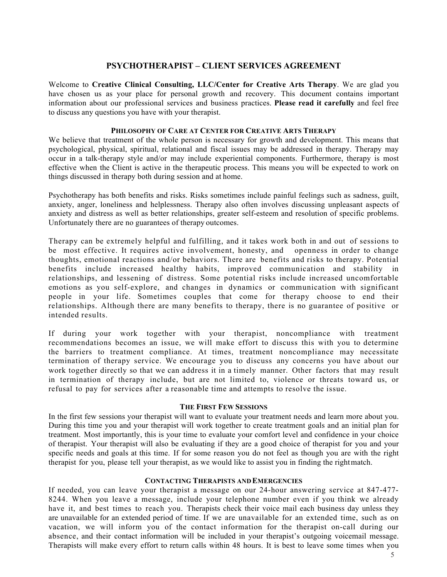# **PSYCHOTHERAPIST – CLIENT SERVICES AGREEMENT**

Welcome to **Creative Clinical Consulting, LLC/Center for Creative Arts Therapy**. We are glad you have chosen us as your place for personal growth and recovery. This document contains important information about our professional services and business practices. **Please read it carefully** and feel free to discuss any questions you have with your therapist.

## **PHILOSOPHY OF CARE AT CENTER FOR CREATIVE ARTS THERAPY**

We believe that treatment of the whole person is necessary for growth and development. This means that psychological, physical, spiritual, relational and fiscal issues may be addressed in therapy. Therapy may occur in a talk-therapy style and/or may include experiential components. Furthermore, therapy is most effective when the Client is active in the therapeutic process. This means you will be expected to work on things discussed in therapy both during session and at home.

Psychotherapy has both benefits and risks. Risks sometimes include painful feelings such as sadness, guilt, anxiety, anger, loneliness and helplessness. Therapy also often involves discussing unpleasant aspects of anxiety and distress as well as better relationships, greater self-esteem and resolution of specific problems. Unfortunately there are no guarantees of therapy outcomes.

Therapy can be extremely helpful and fulfilling, and it takes work both in and out of sessions to be most effective. It requires active involvement, honesty, and openness in order to change thoughts, emotional reactions and/or behaviors. There are benefits and risks to therapy. Potential benefits include increased healthy habits, improved communication and stability in relationships, and lessening of distress. Some potential risks include increased uncomfortable emotions as you self-explore, and changes in dynamics or communication with significant people in your life. Sometimes couples that come for therapy choose to end their relationships. Although there are many benefits to therapy, there is no guarantee of positive or intended results.

If during your work together with your therapist, noncompliance with treatment recommendations becomes an issue, we will make effort to discuss this with you to determine the barriers to treatment compliance. At times, treatment noncompliance may necessitate termination of therapy service. We encourage you to discuss any concerns you have about our work together directly so that we can address it in a timely manner. Other factors that may result in termination of therapy include, but are not limited to, violence or threats toward us, or refusal to pay for services after a reasonable time and attempts to resolve the issue.

## **THE FIRST FEW SESSIONS**

In the first few sessions your therapist will want to evaluate your treatment needs and learn more about you. During this time you and your therapist will work together to create treatment goals and an initial plan for treatment. Most importantly, this is your time to evaluate your comfort level and confidence in your choice of therapist. Your therapist will also be evaluating if they are a good choice of therapist for you and your specific needs and goals at this time. If for some reason you do not feel as though you are with the right therapist for you, please tell your therapist, as we would like to assist you in finding the rightmatch.

## **CONTACTING THERAPISTS AND EMERGENCIES**

If needed, you can leave your therapist a message on our 24-hour answering service at 847-477- 8244. When you leave a message, include your telephone number even if you think we already have it, and best times to reach you. Therapists check their voice mail each business day unless they are unavailable for an extended period of time. If we are unavailable for an extended time, such as on vacation, we will inform you of the contact information for the therapist on-call during our absence, and their contact information will be included in your therapist's outgoing voicemail message. Therapists will make every effort to return calls within 48 hours. It is best to leave some times when you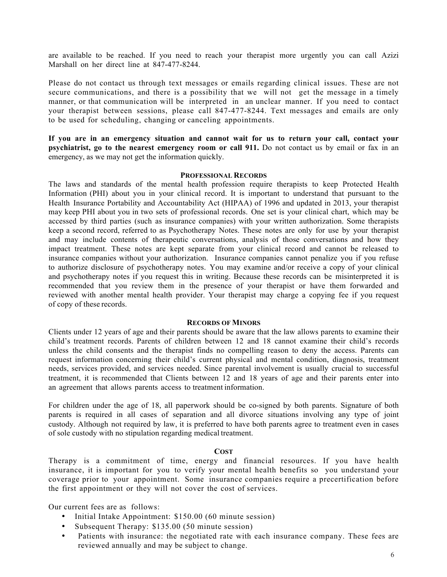are available to be reached. If you need to reach your therapist more urgently you can call Azizi Marshall on her direct line at 847-477-8244.

Please do not contact us through text messages or emails regarding clinical issues. These are not secure communications, and there is a possibility that we will not get the message in a timely manner, or that communication will be interpreted in an unclear manner. If you need to contact your therapist between sessions, please call 847-477-8244. Text messages and emails are only to be used for scheduling, changing or canceling appointments.

**If you are in an emergency situation and cannot wait for us to return your call, contact your psychiatrist, go to the nearest emergency room or call 911.** Do not contact us by email or fax in an emergency, as we may not get the information quickly.

#### **PROFESSIONAL RECORDS**

The laws and standards of the mental health profession require therapists to keep Protected Health Information (PHI) about you in your clinical record. It is important to understand that pursuant to the Health Insurance Portability and Accountability Act (HIPAA) of 1996 and updated in 2013, your therapist may keep PHI about you in two sets of professional records. One set is your clinical chart, which may be accessed by third parties (such as insurance companies) with your written authorization. Some therapists keep a second record, referred to as Psychotherapy Notes. These notes are only for use by your therapist and may include contents of therapeutic conversations, analysis of those conversations and how they impact treatment. These notes are kept separate from your clinical record and cannot be released to insurance companies without your authorization. Insurance companies cannot penalize you if you refuse to authorize disclosure of psychotherapy notes. You may examine and/or receive a copy of your clinical and psychotherapy notes if you request this in writing. Because these records can be misinterpreted it is recommended that you review them in the presence of your therapist or have them forwarded and reviewed with another mental health provider. Your therapist may charge a copying fee if you request of copy of these records.

#### **RECORDS OF MINORS**

Clients under 12 years of age and their parents should be aware that the law allows parents to examine their child's treatment records. Parents of children between 12 and 18 cannot examine their child's records unless the child consents and the therapist finds no compelling reason to deny the access. Parents can request information concerning their child's current physical and mental condition, diagnosis, treatment needs, services provided, and services needed. Since parental involvement is usually crucial to successful treatment, it is recommended that Clients between 12 and 18 years of age and their parents enter into an agreement that allows parents access to treatment information.

For children under the age of 18, all paperwork should be co-signed by both parents. Signature of both parents is required in all cases of separation and all divorce situations involving any type of joint custody. Although not required by law, it is preferred to have both parents agree to treatment even in cases of sole custody with no stipulation regarding medical treatment.

### **COST**

Therapy is a commitment of time, energy and financial resources. If you have health insurance, it is important for you to verify your mental health benefits so you understand your coverage prior to your appointment. Some insurance companies require a precertification before the first appointment or they will not cover the cost of services.

Our current fees are as follows:

- Initial Intake Appointment: \$150.00 (60 minute session)
- Subsequent Therapy: \$135.00 (50 minute session)
- Patients with insurance: the negotiated rate with each insurance company. These fees are reviewed annually and may be subject to change.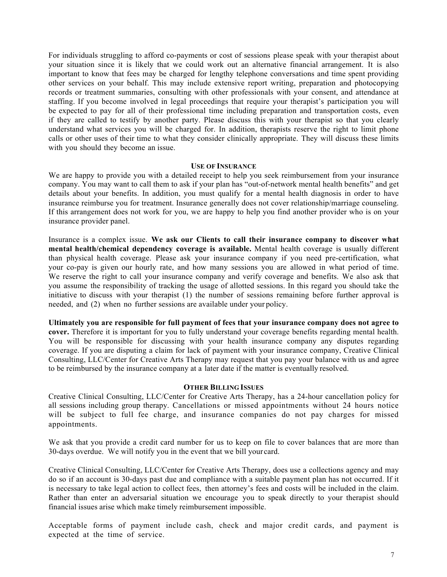For individuals struggling to afford co-payments or cost of sessions please speak with your therapist about your situation since it is likely that we could work out an alternative financial arrangement. It is also important to know that fees may be charged for lengthy telephone conversations and time spent providing other services on your behalf. This may include extensive report writing, preparation and photocopying records or treatment summaries, consulting with other professionals with your consent, and attendance at staffing. If you become involved in legal proceedings that require your therapist's participation you will be expected to pay for all of their professional time including preparation and transportation costs, even if they are called to testify by another party. Please discuss this with your therapist so that you clearly understand what services you will be charged for. In addition, therapists reserve the right to limit phone calls or other uses of their time to what they consider clinically appropriate. They will discuss these limits with you should they become an issue.

#### **USE OF INSURANCE**

We are happy to provide you with a detailed receipt to help you seek reimbursement from your insurance company. You may want to call them to ask if your plan has "out-of-network mental health benefits" and get details about your benefits. In addition, you must qualify for a mental health diagnosis in order to have insurance reimburse you for treatment. Insurance generally does not cover relationship/marriage counseling. If this arrangement does not work for you, we are happy to help you find another provider who is on your insurance provider panel.

Insurance is a complex issue. **We ask our Clients to call their insurance company to discover what mental health/chemical dependency coverage is available.** Mental health coverage is usually different than physical health coverage. Please ask your insurance company if you need pre-certification, what your co-pay is given our hourly rate, and how many sessions you are allowed in what period of time. We reserve the right to call your insurance company and verify coverage and benefits. We also ask that you assume the responsibility of tracking the usage of allotted sessions. In this regard you should take the initiative to discuss with your therapist (1) the number of sessions remaining before further approval is needed, and (2) when no further sessions are available under your policy.

**Ultimately you are responsible for full payment of fees that your insurance company does not agree to cover.** Therefore it is important for you to fully understand your coverage benefits regarding mental health. You will be responsible for discussing with your health insurance company any disputes regarding coverage. If you are disputing a claim for lack of payment with your insurance company, Creative Clinical Consulting, LLC/Center for Creative Arts Therapy may request that you pay your balance with us and agree to be reimbursed by the insurance company at a later date if the matter is eventually resolved.

### **OTHER BILLING ISSUES**

Creative Clinical Consulting, LLC/Center for Creative Arts Therapy, has a 24-hour cancellation policy for all sessions including group therapy. Cancellations or missed appointments without 24 hours notice will be subject to full fee charge, and insurance companies do not pay charges for missed appointments.

We ask that you provide a credit card number for us to keep on file to cover balances that are more than 30-days overdue. We will notify you in the event that we bill your card.

Creative Clinical Consulting, LLC/Center for Creative Arts Therapy, does use a collections agency and may do so if an account is 30-days past due and compliance with a suitable payment plan has not occurred. If it is necessary to take legal action to collect fees, then attorney's fees and costs will be included in the claim. Rather than enter an adversarial situation we encourage you to speak directly to your therapist should financial issues arise which make timely reimbursement impossible.

Acceptable forms of payment include cash, check and major credit cards, and payment is expected at the time of service.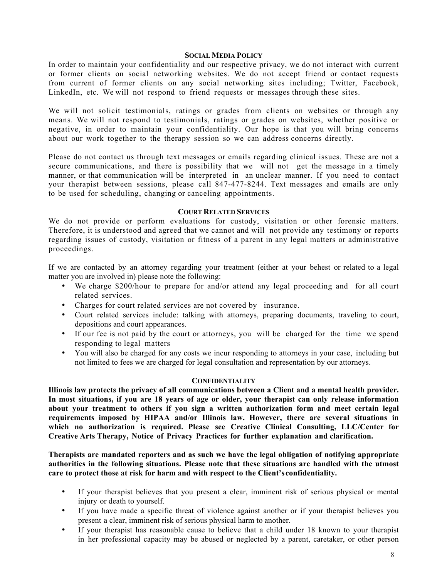#### **SOCIAL MEDIA POLICY**

In order to maintain your confidentiality and our respective privacy, we do not interact with current or former clients on social networking websites. We do not accept friend or contact requests from current of former clients on any social networking sites including; Twitter, Facebook, LinkedIn, etc. We will not respond to friend requests or messages through these sites.

We will not solicit testimonials, ratings or grades from clients on websites or through any means. We will not respond to testimonials, ratings or grades on websites, whether positive or negative, in order to maintain your confidentiality. Our hope is that you will bring concerns about our work together to the therapy session so we can address concerns directly.

Please do not contact us through text messages or emails regarding clinical issues. These are not a secure communications, and there is possibility that we will not get the message in a timely manner, or that communication will be interpreted in an unclear manner. If you need to contact your therapist between sessions, please call 847-477-8244. Text messages and emails are only to be used for scheduling, changing or canceling appointments.

## **COURT RELATED SERVICES**

We do not provide or perform evaluations for custody, visitation or other forensic matters. Therefore, it is understood and agreed that we cannot and will not provide any testimony or reports regarding issues of custody, visitation or fitness of a parent in any legal matters or administrative proceedings.

If we are contacted by an attorney regarding your treatment (either at your behest or related to a legal matter you are involved in) please note the following:

- We charge \$200/hour to prepare for and/or attend any legal proceeding and for all court related services.
- Charges for court related services are not covered by insurance.
- Court related services include: talking with attorneys, preparing documents, traveling to court, depositions and court appearances.
- If our fee is not paid by the court or attorneys, you will be charged for the time we spend responding to legal matters
- You will also be charged for any costs we incur responding to attorneys in your case, including but not limited to fees we are charged for legal consultation and representation by our attorneys.

### **CONFIDENTIALITY**

**Illinois law protects the privacy of all communications between a Client and a mental health provider.** In most situations, if you are 18 years of age or older, your therapist can only release information **about your treatment to others if you sign a written authorization form and meet certain legal requirements imposed by HIPAA and/or Illinois law. However, there are several situations in which no authorization is required. Please see Creative Clinical Consulting, LLC/Center for Creative Arts Therapy, Notice of Privacy Practices for further explanation and clarification.**

**Therapists are mandated reporters and as such we have the legal obligation of notifying appropriate authorities in the following situations. Please note that these situations are handled with the utmost care to protect those at risk for harm and with respect to the Client's confidentiality.**

- If your therapist believes that you present a clear, imminent risk of serious physical or mental injury or death to yourself.
- If you have made a specific threat of violence against another or if your therapist believes you present a clear, imminent risk of serious physical harm to another.
- If your therapist has reasonable cause to believe that a child under 18 known to your therapist in her professional capacity may be abused or neglected by a parent, caretaker, or other person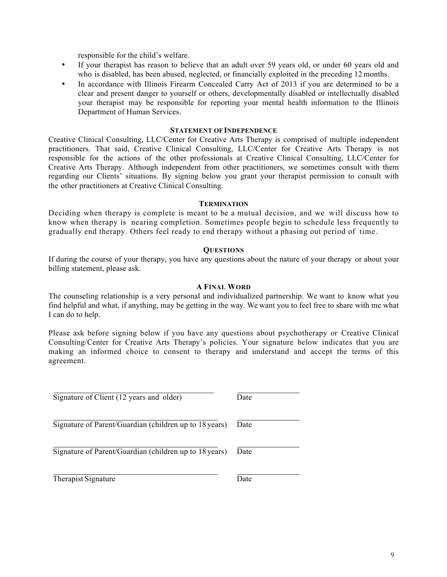responsible for the child's welfare.

- If your therapist has reason to believe that an adult over 59 years old, or under 60 years old and who is disabled, has been abused, neglected, or financially exploited in the preceding 12 months.
- In accordance with Illinois Firearm Concealed Carry Act of 2013 if you are determined to be a clear and present danger to yourself or others, developmentally disabled or intellectually disabled your therapist may be responsible for reporting your mental health information to the Illinois Department of Human Services.

#### **STATEMENT OF INDEPENDENCE**

Creative Clinical Consulting, LLC/Center for Creative Arts Therapy is comprised of multiple independent practitioners. That said, Creative Clinical Consulting, LLC/Center for Creative Arts Therapy is not responsible for the actions of the other professionals at Creative Clinical Consulting, LLC/Center for Creative Arts Therapy. Although independent from other practitioners, we sometimes consult with them regarding our Clients' situations. By signing below you grant your therapist permission to consult with the other practitioners at Creative Clinical Consulting.

#### **TERMINATION**

Deciding when therapy is complete is meant to be a mutual decision, and we will discuss how to know when therapy is nearing completion. Sometimes people begin to schedule less frequently to gradually end therapy. Others feel ready to end therapy without a phasing out period of time.

### **QUESTIONS**

If during the course of your therapy, you have any questions about the nature of your therapy or about your billing statement, please ask.

## **A FINAL WORD**

The counseling relationship is a very personal and individualized partnership. We want to know what you find helpful and what, if anything, may be getting in the way. We want you to feel free to share with me what I can do to help.

Please ask before signing below if you have any questions about psychotherapy or Creative Clinical Consulting/Center for Creative Arts Therapy's policies. Your signature below indicates that you are making an informed choice to consent to therapy and understand and accept the terms of this agreement.

| Signature of Client (12 years and older)               | Date |
|--------------------------------------------------------|------|
| Signature of Parent/Guardian (children up to 18 years) | Date |
| Signature of Parent/Guardian (children up to 18 years) | Date |
| Therapist Signature                                    | Date |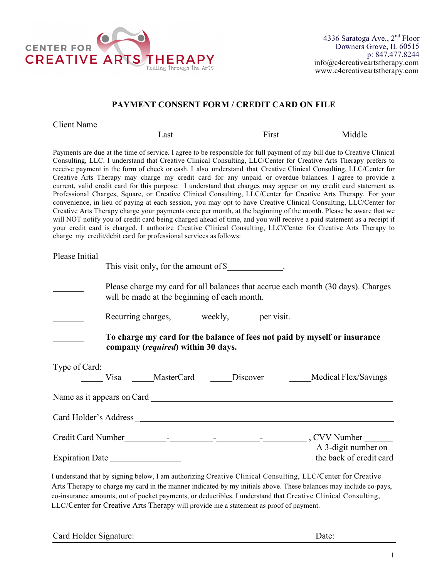

# **PAYMENT CONSENT FORM / CREDIT CARD ON FILE**

| Client Name |                                                                                                                         |       |        |
|-------------|-------------------------------------------------------------------------------------------------------------------------|-------|--------|
|             | Last.                                                                                                                   | First | Middle |
|             | Payments are due at the time of service. I agree to be responsible for full payment of my bill due to Creative Clinical |       |        |
|             | Consulting, LLC. I understand that Creative Clinical Consulting, LLC/Center for Creative Arts Therapy prefers to        |       |        |

receive payment in the form of check or cash. I also understand that Creative Clinical Consulting, LLC/Center for Creative Arts Therapy may charge my credit card for any unpaid or overdue balances. I agree to provide a current, valid credit card for this purpose. I understand that charges may appear on my credit card statement as Professional Charges, Square, or Creative Clinical Consulting, LLC/Center for Creative Arts Therapy. For your convenience, in lieu of paying at each session, you may opt to have Creative Clinical Consulting, LLC/Center for Creative Arts Therapy charge your payments once per month, at the beginning of the month. Please be aware that we will NOT notify you of credit card being charged ahead of time, and you will receive a paid statement as a receipt if your credit card is charged. I authorize Creative Clinical Consulting, LLC/Center for Creative Arts Therapy to charge my credit/debit card for professional services asfollows:

| Please Initial  | This visit only, for the amount of \$            |  |                                                                                                                                                                                                                                    |
|-----------------|--------------------------------------------------|--|------------------------------------------------------------------------------------------------------------------------------------------------------------------------------------------------------------------------------------|
|                 | will be made at the beginning of each month.     |  | Please charge my card for all balances that accrue each month (30 days). Charges                                                                                                                                                   |
|                 | Recurring charges, _____weekly, _____ per visit. |  |                                                                                                                                                                                                                                    |
|                 | company (required) within 30 days.               |  | To charge my card for the balance of fees not paid by myself or insurance                                                                                                                                                          |
| Type of Card:   |                                                  |  | Visa _____MasterCard ______Discover _______Medical Flex/Savings                                                                                                                                                                    |
|                 |                                                  |  |                                                                                                                                                                                                                                    |
|                 |                                                  |  |                                                                                                                                                                                                                                    |
|                 |                                                  |  | Credit Card Number<br>France Credit Card Number<br>The Contract of Contract Contract Contract Contract Contract Contract Contract Contract Contract Contract Contract Contract Contract Contract Contract Contract Contract Contra |
| Expiration Date |                                                  |  | A 3-digit number on<br>the back of credit card                                                                                                                                                                                     |

I understand that by signing below, I am authorizing Creative Clinical Consulting, LLC/Center for Creative Arts Therapy to charge my card in the manner indicated by my initials above. These balances may include co-pays, co-insurance amounts, out of pocket payments, or deductibles. I understand that Creative Clinical Consulting, LLC/Center for Creative Arts Therapy will provide me a statement as proof of payment.

Card Holder Signature: Date: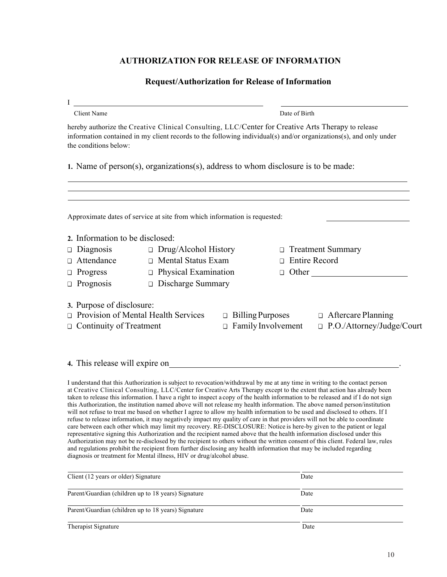# **AUTHORIZATION FOR RELEASE OF INFORMATION**

## **Request/Authorization for Release of Information**

|                                 |                                                                                                    |                            | Date of Birth |                                                                                                                   |
|---------------------------------|----------------------------------------------------------------------------------------------------|----------------------------|---------------|-------------------------------------------------------------------------------------------------------------------|
| the conditions below:           | hereby authorize the Creative Clinical Consulting, LLC/Center for Creative Arts Therapy to release |                            |               | information contained in my client records to the following individual(s) and/or organizations(s), and only under |
|                                 | 1. Name of person(s), organizations(s), address to whom disclosure is to be made:                  |                            |               |                                                                                                                   |
|                                 | Approximate dates of service at site from which information is requested:                          |                            |               |                                                                                                                   |
| 2. Information to be disclosed: |                                                                                                    |                            |               |                                                                                                                   |
| Diagnosis                       | $\Box$ Drug/Alcohol History                                                                        |                            | $\Box$        | <b>Treatment Summary</b>                                                                                          |
| Attendance                      | $\Box$ Mental Status Exam                                                                          |                            | $\Box$        | <b>Entire Record</b>                                                                                              |
| Progress<br>□                   | $\Box$ Physical Examination                                                                        |                            |               | $\Box$ Other                                                                                                      |
| $\Box$ Prognosis                | $\Box$ Discharge Summary                                                                           |                            |               |                                                                                                                   |
|                                 |                                                                                                    |                            |               |                                                                                                                   |
|                                 |                                                                                                    |                            |               |                                                                                                                   |
| 3. Purpose of disclosure:       | Provision of Mental Health Services                                                                | Billing Purposes<br>$\Box$ |               | $\Box$ Aftercare Planning                                                                                         |

## **4.** This release will expire on .

I understand that this Authorization is subject to revocation/withdrawal by me at any time in writing to the contact person at Creative Clinical Consulting, LLC/Center for Creative Arts Therapy except to the extent that action has already been taken to release this information. I have a right to inspect a copy of the health information to be released and if I do not sign this Authorization, the institution named above will not release my health information. The above named person/institution will not refuse to treat me based on whether I agree to allow my health information to be used and disclosed to others. If I refuse to release information, it may negatively impact my quality of care in that providers will not be able to coordinate care between each other which may limit my recovery. RE-DISCLOSURE: Notice is here-by given to the patient or legal representative signing this Authorization and the recipient named above that the health information disclosed under this Authorization may not be re-disclosed by the recipient to others without the written consent of this client. Federal law, rules and regulations prohibit the recipient from further disclosing any health information that may be included regarding diagnosis or treatment for Mental illness, HIV or drug/alcohol abuse.

| Client (12 years or older) Signature                | Date |  |
|-----------------------------------------------------|------|--|
| Parent/Guardian (children up to 18 years) Signature | Date |  |
| Parent/Guardian (children up to 18 years) Signature | Date |  |
| Therapist Signature                                 | Date |  |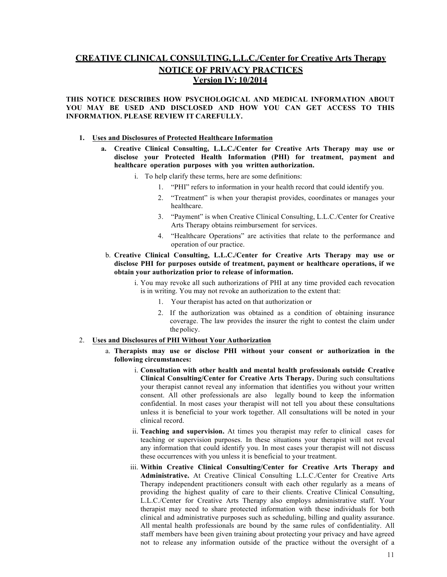# **CREATIVE CLINICAL CONSULTING,L.L.C./Center for Creative Arts Therapy NOTICE OF PRIVACY PRACTICES Version IV: 10/2014**

#### **THIS NOTICE DESCRIBES HOW PSYCHOLOGICAL AND MEDICAL INFORMATION ABOUT YOU MAY BE USED AND DISCLOSED AND HOW YOU CAN GET ACCESS TO THIS INFORMATION. PLEASE REVIEW IT CAREFULLY.**

#### **1. Uses and Disclosures of Protected Healthcare Information**

- **a. Creative Clinical Consulting, L.L.C./Center for Creative Arts Therapy may use or disclose your Protected Health Information (PHI) for treatment, payment and healthcare operation purposes with you written authorization.**
	- i. To help clarify these terms, here are some definitions:
		- 1. "PHI" refers to information in your health record that could identify you.
		- 2. "Treatment" is when your therapist provides, coordinates or manages your healthcare.
		- 3. "Payment" is when Creative Clinical Consulting, L.L.C./Center for Creative Arts Therapy obtains reimbursement for services.
		- 4. "Healthcare Operations" are activities that relate to the performance and operation of our practice.
- b. **Creative Clinical Consulting, L.L.C./Center for Creative Arts Therapy may use or disclose PHI for purposes outside of treatment, payment or healthcare operations, if we obtain your authorization prior to release of information.**
	- i. You may revoke all such authorizations of PHI at any time provided each revocation is in writing. You may not revoke an authorization to the extent that:
		- 1. Your therapist has acted on that authorization or
		- 2. If the authorization was obtained as a condition of obtaining insurance coverage. The law provides the insurer the right to contest the claim under the policy.

### 2. **Uses and Disclosures of PHI Without Your Authorization**

- a. **Therapists may use or disclose PHI without your consent or authorization in the following circumstances:**
	- i. **Consultation with other health and mental health professionals outside Creative Clinical Consulting/Center for Creative Arts Therapy.** During such consultations your therapist cannot reveal any information that identifies you without your written consent. All other professionals are also legally bound to keep the information confidential. In most cases your therapist will not tell you about these consultations unless it is beneficial to your work together. All consultations will be noted in your clinical record.
	- ii. **Teaching and supervision.** At times you therapist may refer to clinical cases for teaching or supervision purposes. In these situations your therapist will not reveal any information that could identify you. In most cases your therapist will not discuss these occurrences with you unless it is beneficial to your treatment.
	- iii. **Within Creative Clinical Consulting/Center for Creative Arts Therapy and Administrative.** At Creative Clinical Consulting L.L.C./Center for Creative Arts Therapy independent practitioners consult with each other regularly as a means of providing the highest quality of care to their clients. Creative Clinical Consulting, L.L.C./Center for Creative Arts Therapy also employs administrative staff. Your therapist may need to share protected information with these individuals for both clinical and administrative purposes such as scheduling, billing and quality assurance. All mental health professionals are bound by the same rules of confidentiality. All staff members have been given training about protecting your privacy and have agreed not to release any information outside of the practice without the oversight of a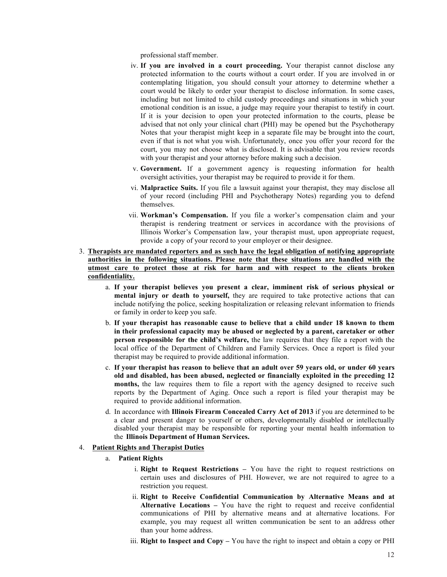professional staff member.

- iv. **If you are involved in a court proceeding.** Your therapist cannot disclose any protected information to the courts without a court order. If you are involved in or contemplating litigation, you should consult your attorney to determine whether a court would be likely to order your therapist to disclose information. In some cases, including but not limited to child custody proceedings and situations in which your emotional condition is an issue, a judge may require your therapist to testify in court. If it is your decision to open your protected information to the courts, please be advised that not only your clinical chart (PHI) may be opened but the Psychotherapy Notes that your therapist might keep in a separate file may be brought into the court, even if that is not what you wish. Unfortunately, once you offer your record for the court, you may not choose what is disclosed. It is advisable that you review records with your therapist and your attorney before making such a decision.
- v. **Government.** If a government agency is requesting information for health oversight activities, your therapist may be required to provide it for them.
- vi. **Malpractice Suits.** If you file a lawsuit against your therapist, they may disclose all of your record (including PHI and Psychotherapy Notes) regarding you to defend themselves.
- vii. **Workman's Compensation.** If you file a worker's compensation claim and your therapist is rendering treatment or services in accordance with the provisions of Illinois Worker's Compensation law, your therapist must, upon appropriate request, provide a copy of your record to your employer or their designee.
- 3. **Therapists are mandated reporters and as such have the legal obligation of notifying appropriate authorities in the following situations. Please note that these situations are handled with the utmost care to protect those at risk for harm and with respect to the clients broken confidentiality.**
	- a. **If your therapist believes you present a clear, imminent risk of serious physical or mental injury or death to yourself,** they are required to take protective actions that can include notifying the police, seeking hospitalization or releasing relevant information to friends or family in order to keep you safe.
	- b. **If your therapist has reasonable cause to believe that a child under 18 known to them in their professional capacity may be abused or neglected by a parent, caretaker or other person responsible for the child's welfare,** the law requires that they file a report with the local office of the Department of Children and Family Services. Once a report is filed your therapist may be required to provide additional information.
	- c. **If your therapist has reason to believe that an adult over 59 years old, or under 60 years old and disabled, has been abused, neglected or financially exploited in the preceding 12 months,** the law requires them to file a report with the agency designed to receive such reports by the Department of Aging. Once such a report is filed your therapist may be required to provide additional information.
	- d. In accordance with **Illinois Firearm Concealed Carry Act of 2013** if you are determined to be a clear and present danger to yourself or others, developmentally disabled or intellectually disabled your therapist may be responsible for reporting your mental health information to the **Illinois Department of Human Services.**

#### 4. **Patient Rights and Therapist Duties**

- a. **Patient Rights**
	- i. **Right to Request Restrictions –** You have the right to request restrictions on certain uses and disclosures of PHI. However, we are not required to agree to a restriction you request.
	- ii. **Right to Receive Confidential Communication by Alternative Means and at Alternative Locations –** You have the right to request and receive confidential communications of PHI by alternative means and at alternative locations. For example, you may request all written communication be sent to an address other than your home address.
	- iii. **Right to Inspect and Copy –** You have the right to inspect and obtain a copy or PHI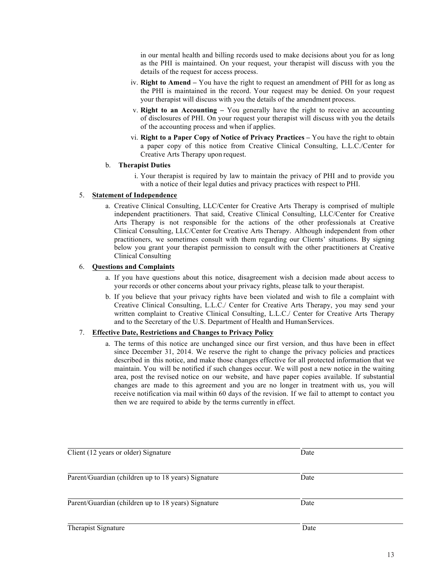in our mental health and billing records used to make decisions about you for as long as the PHI is maintained. On your request, your therapist will discuss with you the details of the request for access process.

- iv. **Right to Amend –** You have the right to request an amendment of PHI for as long as the PHI is maintained in the record. Your request may be denied. On your request your therapist will discuss with you the details of the amendment process.
- v. **Right to an Accounting –** You generally have the right to receive an accounting of disclosures of PHI. On your request your therapist will discuss with you the details of the accounting process and when if applies.
- vi. **Right to a Paper Copy of Notice of Privacy Practices –** You have the right to obtain a paper copy of this notice from Creative Clinical Consulting, L.L.C./Center for Creative Arts Therapy upon request.

### b. **Therapist Duties**

i. Your therapist is required by law to maintain the privacy of PHI and to provide you with a notice of their legal duties and privacy practices with respect to PHI.

### 5. **Statement of Independence**

a. Creative Clinical Consulting, LLC/Center for Creative Arts Therapy is comprised of multiple independent practitioners. That said, Creative Clinical Consulting, LLC/Center for Creative Arts Therapy is not responsible for the actions of the other professionals at Creative Clinical Consulting, LLC/Center for Creative Arts Therapy. Although independent from other practitioners, we sometimes consult with them regarding our Clients' situations. By signing below you grant your therapist permission to consult with the other practitioners at Creative Clinical Consulting

### 6. **Questions and Complaints**

- a. If you have questions about this notice, disagreement wish a decision made about access to your records or other concerns about your privacy rights, please talk to your therapist.
- b. If you believe that your privacy rights have been violated and wish to file a complaint with Creative Clinical Consulting, L.L.C./ Center for Creative Arts Therapy, you may send your written complaint to Creative Clinical Consulting, L.L.C./ Center for Creative Arts Therapy and to the Secretary of the U.S. Department of Health and Human Services.

### 7. **Effective Date, Restrictions and Changes to Privacy Policy**

a. The terms of this notice are unchanged since our first version, and thus have been in effect since December 31, 2014. We reserve the right to change the privacy policies and practices described in this notice, and make those changes effective for all protected information that we maintain. You will be notified if such changes occur. We will post a new notice in the waiting area, post the revised notice on our website, and have paper copies available. If substantial changes are made to this agreement and you are no longer in treatment with us, you will receive notification via mail within 60 days of the revision. If we fail to attempt to contact you then we are required to abide by the terms currently in effect.

| Client (12 years or older) Signature                | Date |  |
|-----------------------------------------------------|------|--|
| Parent/Guardian (children up to 18 years) Signature | Date |  |
| Parent/Guardian (children up to 18 years) Signature | Date |  |
| Therapist Signature                                 | Date |  |